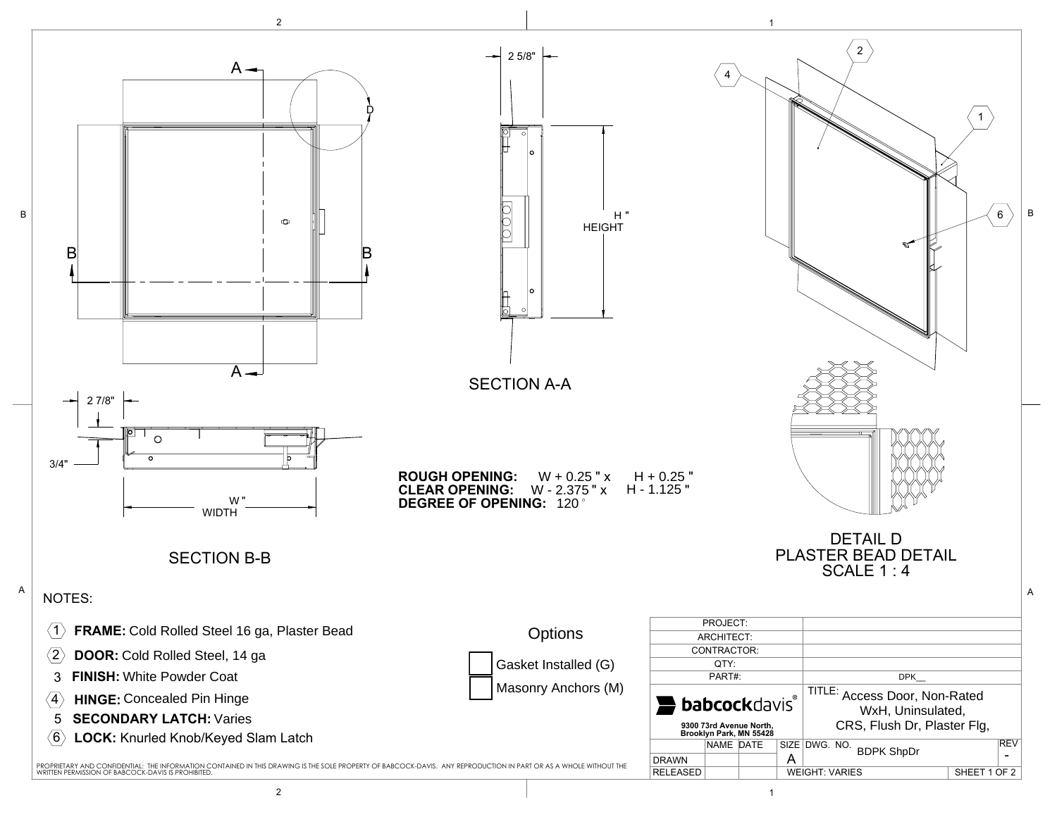